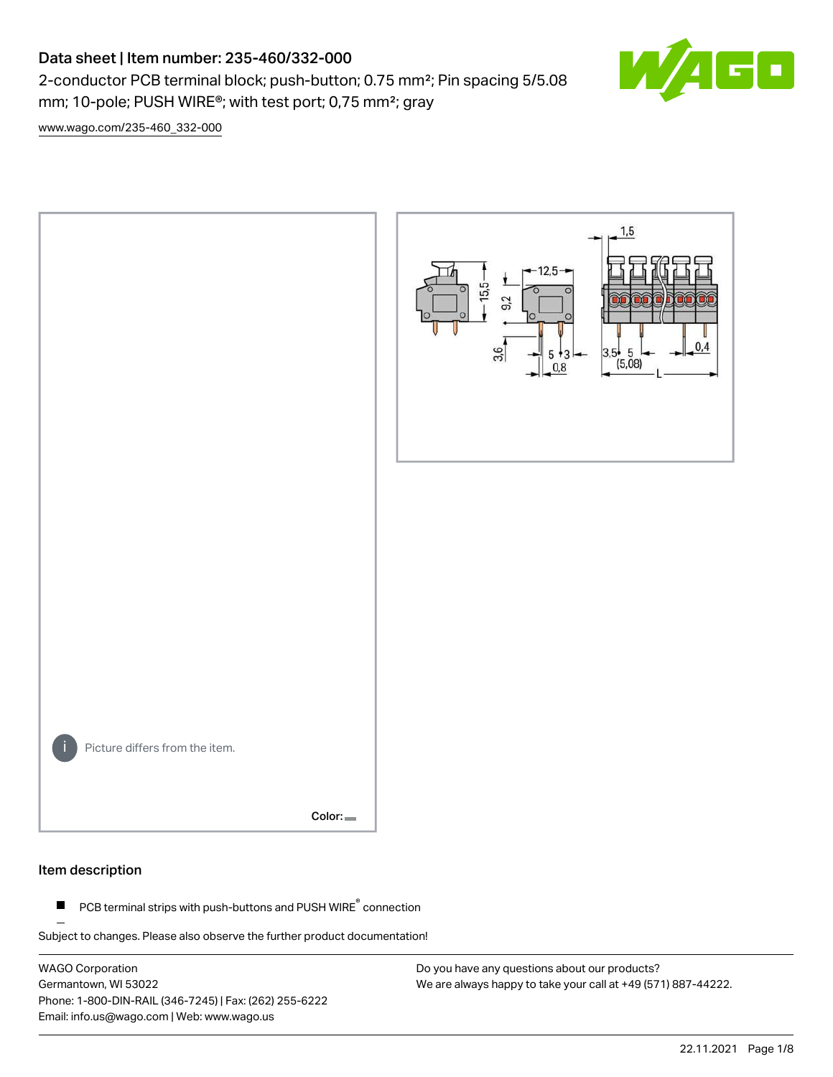# Data sheet | Item number: 235-460/332-000

2-conductor PCB terminal block; push-button; 0.75 mm²; Pin spacing 5/5.08 mm; 10-pole; PUSH WIRE®; with test port; 0,75 mm²; gray

 $\blacksquare$ 

[www.wago.com/235-460\\_332-000](http://www.wago.com/235-460_332-000)



#### Item description

PCB terminal strips with push-buttons and PUSH WIRE<sup>®</sup> connection  $\blacksquare$ 

Subject to changes. Please also observe the further product documentation!

WAGO Corporation Germantown, WI 53022 Phone: 1-800-DIN-RAIL (346-7245) | Fax: (262) 255-6222 Email: info.us@wago.com | Web: www.wago.us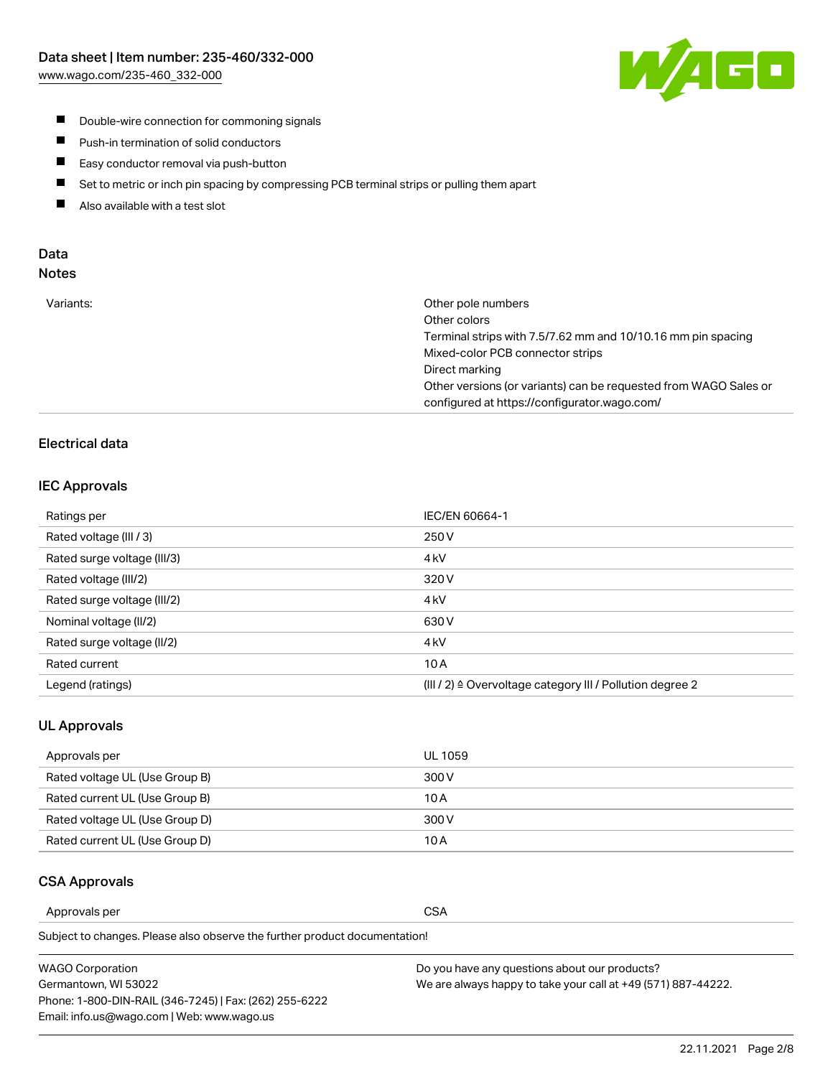

- **Double-wire connection for commoning signals**
- $\blacksquare$ Push-in termination of solid conductors
- Easy conductor removal via push-button  $\blacksquare$
- $\blacksquare$ Set to metric or inch pin spacing by compressing PCB terminal strips or pulling them apart
- $\blacksquare$ Also available with a test slot

### Data Notes

| Variants: | Other pole numbers                                               |
|-----------|------------------------------------------------------------------|
|           | Other colors                                                     |
|           | Terminal strips with 7.5/7.62 mm and 10/10.16 mm pin spacing     |
|           | Mixed-color PCB connector strips                                 |
|           | Direct marking                                                   |
|           | Other versions (or variants) can be requested from WAGO Sales or |
|           | configured at https://configurator.wago.com/                     |
|           |                                                                  |

# Electrical data

### IEC Approvals

| Ratings per                 | IEC/EN 60664-1                                                        |
|-----------------------------|-----------------------------------------------------------------------|
| Rated voltage (III / 3)     | 250 V                                                                 |
| Rated surge voltage (III/3) | 4 <sub>k</sub> V                                                      |
| Rated voltage (III/2)       | 320 V                                                                 |
| Rated surge voltage (III/2) | 4 <sub>kV</sub>                                                       |
| Nominal voltage (II/2)      | 630 V                                                                 |
| Rated surge voltage (II/2)  | 4 <sub>k</sub> V                                                      |
| Rated current               | 10A                                                                   |
| Legend (ratings)            | $(III / 2)$ $\triangle$ Overvoltage category III / Pollution degree 2 |

#### UL Approvals

| Approvals per                  | UL 1059 |
|--------------------------------|---------|
| Rated voltage UL (Use Group B) | 300 V   |
| Rated current UL (Use Group B) | 10 A    |
| Rated voltage UL (Use Group D) | 300 V   |
| Rated current UL (Use Group D) | 10 A    |

### CSA Approvals

Approvals per CSA

Subject to changes. Please also observe the further product documentation!

| WAGO Corporation                                       | Do you have any questions about our products?                 |
|--------------------------------------------------------|---------------------------------------------------------------|
| Germantown, WI 53022                                   | We are always happy to take your call at +49 (571) 887-44222. |
| Phone: 1-800-DIN-RAIL (346-7245)   Fax: (262) 255-6222 |                                                               |
| Email: info.us@wago.com   Web: www.wago.us             |                                                               |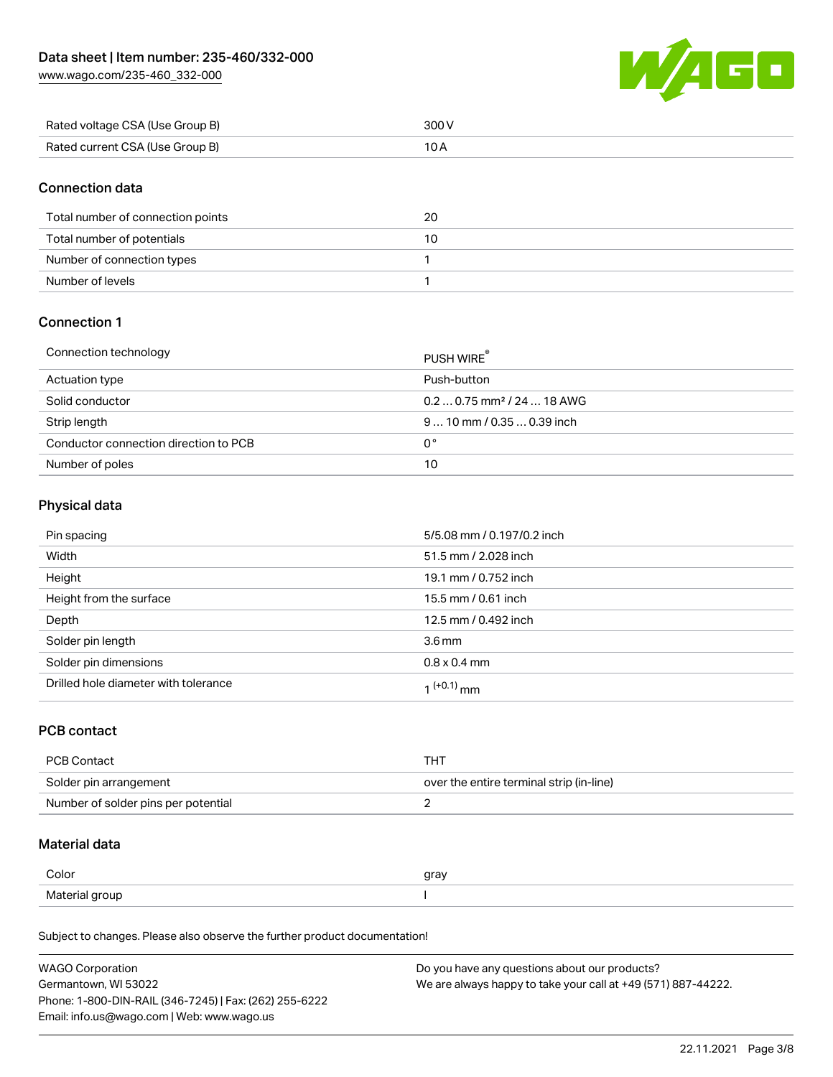[www.wago.com/235-460\\_332-000](http://www.wago.com/235-460_332-000)



| Rated voltage CSA (Use Group B) | 300 V |
|---------------------------------|-------|
| Rated current CSA (Use Group B) |       |

## Connection data

| Total number of connection points | 20 |
|-----------------------------------|----|
| Total number of potentials        | 10 |
| Number of connection types        |    |
| Number of levels                  |    |

# Connection 1

| Connection technology                 | PUSH WIRE <sup>®</sup>                 |
|---------------------------------------|----------------------------------------|
| Actuation type                        | Push-button                            |
| Solid conductor                       | $0.20.75$ mm <sup>2</sup> / 24  18 AWG |
| Strip length                          | $910$ mm $/0.350.39$ inch              |
| Conductor connection direction to PCB | 0°                                     |
| Number of poles                       | 10                                     |

## Physical data

| Pin spacing                          | 5/5.08 mm / 0.197/0.2 inch |
|--------------------------------------|----------------------------|
| Width                                | 51.5 mm / 2.028 inch       |
| Height                               | 19.1 mm / 0.752 inch       |
| Height from the surface              | 15.5 mm / 0.61 inch        |
| Depth                                | 12.5 mm / 0.492 inch       |
| Solder pin length                    | 3.6 <sub>mm</sub>          |
| Solder pin dimensions                | $0.8 \times 0.4$ mm        |
| Drilled hole diameter with tolerance | $1^{(+0.1)}$ mm            |

### PCB contact

| PCB Contact                         | тнт                                      |
|-------------------------------------|------------------------------------------|
| Solder pin arrangement              | over the entire terminal strip (in-line) |
| Number of solder pins per potential |                                          |

#### Material data

| Color          | gray |
|----------------|------|
| Material group |      |

Subject to changes. Please also observe the further product documentation!

| <b>WAGO Corporation</b>                                | Do you have any questions about our products?                 |
|--------------------------------------------------------|---------------------------------------------------------------|
| Germantown, WI 53022                                   | We are always happy to take your call at +49 (571) 887-44222. |
| Phone: 1-800-DIN-RAIL (346-7245)   Fax: (262) 255-6222 |                                                               |
| Email: info.us@wago.com   Web: www.wago.us             |                                                               |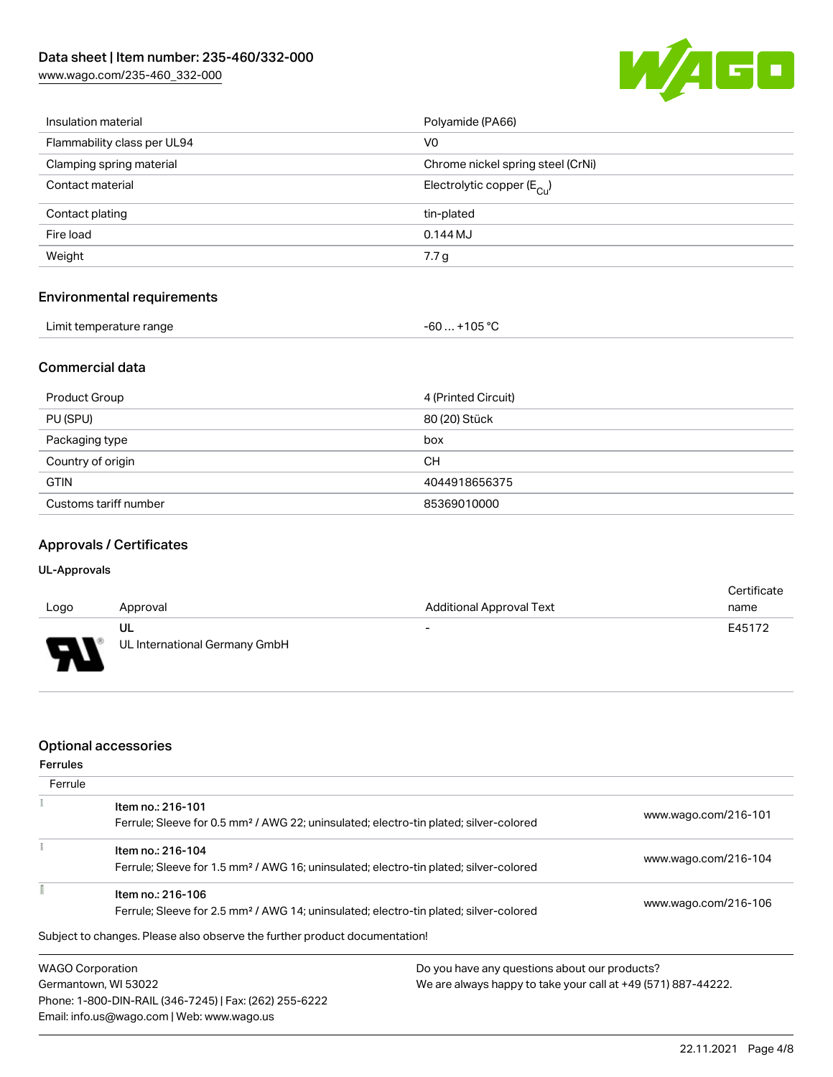[www.wago.com/235-460\\_332-000](http://www.wago.com/235-460_332-000)



| Insulation material               | Polyamide (PA66)                       |
|-----------------------------------|----------------------------------------|
| Flammability class per UL94       | V <sub>0</sub>                         |
| Clamping spring material          | Chrome nickel spring steel (CrNi)      |
| Contact material                  | Electrolytic copper $(E_{\text{CII}})$ |
| Contact plating                   | tin-plated                             |
| Fire load                         | $0.144M$ J                             |
| Weight                            | 7.7 <sub>g</sub>                       |
|                                   |                                        |
| <b>Environmental requirements</b> |                                        |

| Limit temperature range | $-60+105 °C$ |
|-------------------------|--------------|
|                         |              |

### Commercial data

| Product Group         | 4 (Printed Circuit) |
|-----------------------|---------------------|
| PU (SPU)              | 80 (20) Stück       |
| Packaging type        | box                 |
| Country of origin     | CН                  |
| <b>GTIN</b>           | 4044918656375       |
| Customs tariff number | 85369010000         |

### Approvals / Certificates

#### UL-Approvals

| Logo     | Approval                            | <b>Additional Approval Text</b> | Certificate<br>name |
|----------|-------------------------------------|---------------------------------|---------------------|
| J<br>. . | UL<br>UL International Germany GmbH | $\overline{\phantom{0}}$        | E45172              |

### Optional accessories

Email: info.us@wago.com | Web: www.wago.us

| <b>Ferrules</b>      |                                                                                                   |                                                               |                      |  |
|----------------------|---------------------------------------------------------------------------------------------------|---------------------------------------------------------------|----------------------|--|
| Ferrule              |                                                                                                   |                                                               |                      |  |
|                      | Item no.: 216-101                                                                                 |                                                               | www.wago.com/216-101 |  |
|                      | Ferrule; Sleeve for 0.5 mm <sup>2</sup> / AWG 22; uninsulated; electro-tin plated; silver-colored |                                                               |                      |  |
|                      | Item no.: 216-104                                                                                 |                                                               |                      |  |
|                      | Ferrule; Sleeve for 1.5 mm <sup>2</sup> / AWG 16; uninsulated; electro-tin plated; silver-colored |                                                               | www.wago.com/216-104 |  |
|                      | Item no.: 216-106                                                                                 |                                                               |                      |  |
|                      | Ferrule; Sleeve for 2.5 mm <sup>2</sup> / AWG 14; uninsulated; electro-tin plated; silver-colored |                                                               | www.wago.com/216-106 |  |
|                      | Subject to changes. Please also observe the further product documentation!                        |                                                               |                      |  |
|                      | <b>WAGO Corporation</b>                                                                           | Do you have any questions about our products?                 |                      |  |
| Germantown, WI 53022 |                                                                                                   | We are always happy to take your call at +49 (571) 887-44222. |                      |  |
|                      | Phone: 1-800-DIN-RAIL (346-7245)   Fax: (262) 255-6222                                            |                                                               |                      |  |

22.11.2021 Page 4/8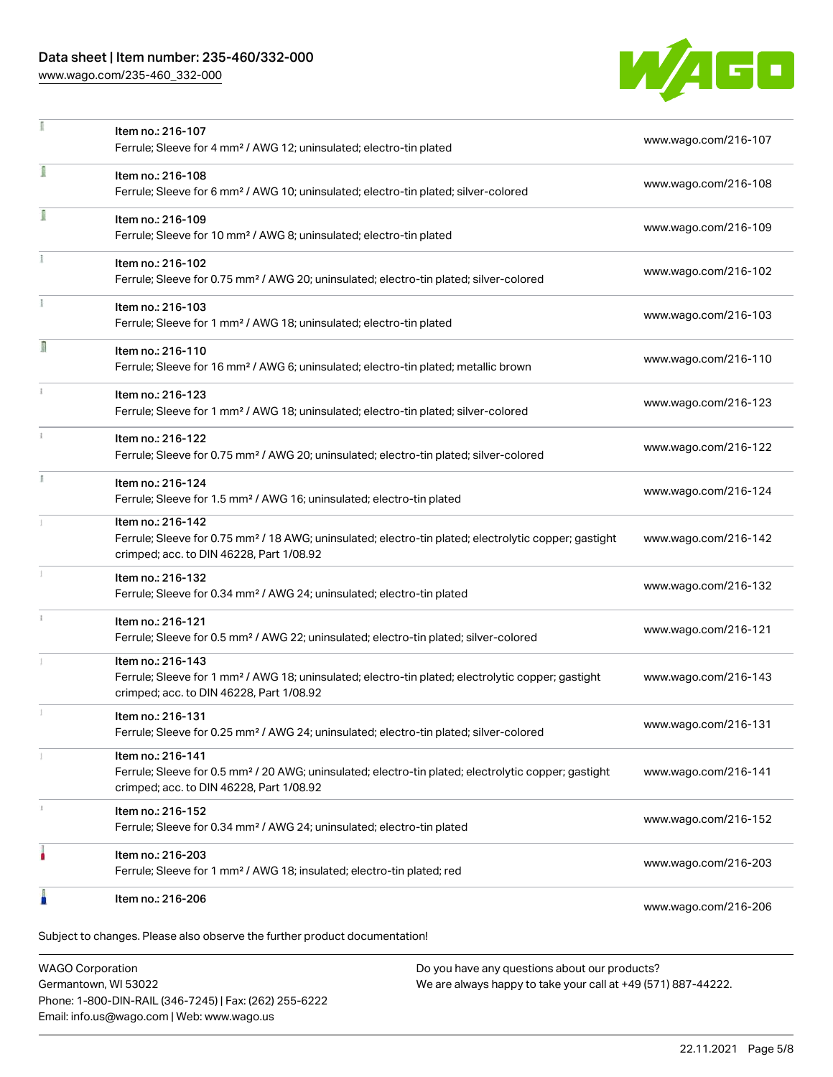## Data sheet | Item number: 235-460/332-000

[www.wago.com/235-460\\_332-000](http://www.wago.com/235-460_332-000)



|    | Item no.: 216-107<br>Ferrule; Sleeve for 4 mm <sup>2</sup> / AWG 12; uninsulated; electro-tin plated                                                                               | www.wago.com/216-107 |
|----|------------------------------------------------------------------------------------------------------------------------------------------------------------------------------------|----------------------|
| ī  | Item no.: 216-108<br>Ferrule; Sleeve for 6 mm <sup>2</sup> / AWG 10; uninsulated; electro-tin plated; silver-colored                                                               | www.wago.com/216-108 |
| Ī  | Item no.: 216-109<br>Ferrule; Sleeve for 10 mm <sup>2</sup> / AWG 8; uninsulated; electro-tin plated                                                                               | www.wago.com/216-109 |
|    | Item no.: 216-102<br>Ferrule; Sleeve for 0.75 mm <sup>2</sup> / AWG 20; uninsulated; electro-tin plated; silver-colored                                                            | www.wago.com/216-102 |
|    | Item no.: 216-103<br>Ferrule; Sleeve for 1 mm <sup>2</sup> / AWG 18; uninsulated; electro-tin plated                                                                               | www.wago.com/216-103 |
| Π  | Item no.: 216-110<br>Ferrule; Sleeve for 16 mm <sup>2</sup> / AWG 6; uninsulated; electro-tin plated; metallic brown                                                               | www.wago.com/216-110 |
|    | Item no.: 216-123<br>Ferrule; Sleeve for 1 mm <sup>2</sup> / AWG 18; uninsulated; electro-tin plated; silver-colored                                                               | www.wago.com/216-123 |
| ž. | Item no.: 216-122<br>Ferrule; Sleeve for 0.75 mm <sup>2</sup> / AWG 20; uninsulated; electro-tin plated; silver-colored                                                            | www.wago.com/216-122 |
| B  | Item no.: 216-124<br>Ferrule; Sleeve for 1.5 mm <sup>2</sup> / AWG 16; uninsulated; electro-tin plated                                                                             | www.wago.com/216-124 |
|    | Item no.: 216-142<br>Ferrule; Sleeve for 0.75 mm <sup>2</sup> / 18 AWG; uninsulated; electro-tin plated; electrolytic copper; gastight<br>crimped; acc. to DIN 46228, Part 1/08.92 | www.wago.com/216-142 |
|    | Item no.: 216-132<br>Ferrule; Sleeve for 0.34 mm <sup>2</sup> / AWG 24; uninsulated; electro-tin plated                                                                            | www.wago.com/216-132 |
|    | Item no.: 216-121<br>Ferrule; Sleeve for 0.5 mm <sup>2</sup> / AWG 22; uninsulated; electro-tin plated; silver-colored                                                             | www.wago.com/216-121 |
|    | Item no.: 216-143<br>Ferrule; Sleeve for 1 mm <sup>2</sup> / AWG 18; uninsulated; electro-tin plated; electrolytic copper; gastight<br>crimped; acc. to DIN 46228, Part 1/08.92    | www.wago.com/216-143 |
|    | Item no.: 216-131<br>Ferrule; Sleeve for 0.25 mm <sup>2</sup> / AWG 24; uninsulated; electro-tin plated; silver-colored                                                            | www.wago.com/216-131 |
|    | Item no.: 216-141<br>Ferrule; Sleeve for 0.5 mm <sup>2</sup> / 20 AWG; uninsulated; electro-tin plated; electrolytic copper; gastight<br>crimped; acc. to DIN 46228, Part 1/08.92  | www.wago.com/216-141 |
|    | Item no.: 216-152<br>Ferrule; Sleeve for 0.34 mm <sup>2</sup> / AWG 24; uninsulated; electro-tin plated                                                                            | www.wago.com/216-152 |
|    | Item no.: 216-203<br>Ferrule; Sleeve for 1 mm <sup>2</sup> / AWG 18; insulated; electro-tin plated; red                                                                            | www.wago.com/216-203 |
|    | Item no.: 216-206                                                                                                                                                                  | www.wago.com/216-206 |

WAGO Corporation Germantown, WI 53022 Phone: 1-800-DIN-RAIL (346-7245) | Fax: (262) 255-6222 Email: info.us@wago.com | Web: www.wago.us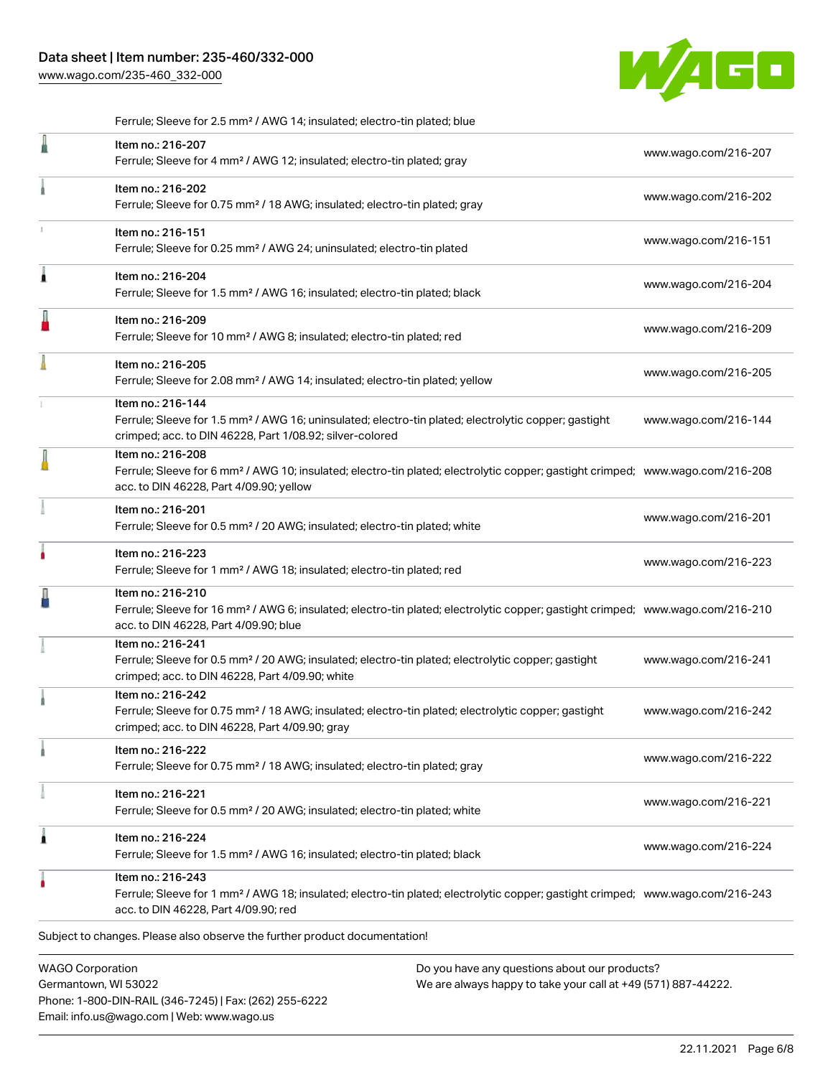[www.wago.com/235-460\\_332-000](http://www.wago.com/235-460_332-000)



|   | Ferrule; Sleeve for 2.5 mm <sup>2</sup> / AWG 14; insulated; electro-tin plated; blue                                                                                                                      |                      |
|---|------------------------------------------------------------------------------------------------------------------------------------------------------------------------------------------------------------|----------------------|
|   | Item no.: 216-207<br>Ferrule; Sleeve for 4 mm <sup>2</sup> / AWG 12; insulated; electro-tin plated; gray                                                                                                   | www.wago.com/216-207 |
|   | Item no.: 216-202<br>Ferrule; Sleeve for 0.75 mm <sup>2</sup> / 18 AWG; insulated; electro-tin plated; gray                                                                                                | www.wago.com/216-202 |
|   | Item no.: 216-151<br>Ferrule; Sleeve for 0.25 mm <sup>2</sup> / AWG 24; uninsulated; electro-tin plated                                                                                                    | www.wago.com/216-151 |
| Â | Item no.: 216-204<br>Ferrule; Sleeve for 1.5 mm <sup>2</sup> / AWG 16; insulated; electro-tin plated; black                                                                                                | www.wago.com/216-204 |
| I | Item no.: 216-209<br>Ferrule; Sleeve for 10 mm <sup>2</sup> / AWG 8; insulated; electro-tin plated; red                                                                                                    | www.wago.com/216-209 |
|   | Item no.: 216-205<br>Ferrule; Sleeve for 2.08 mm <sup>2</sup> / AWG 14; insulated; electro-tin plated; yellow                                                                                              | www.wago.com/216-205 |
|   | Item no.: 216-144<br>Ferrule; Sleeve for 1.5 mm <sup>2</sup> / AWG 16; uninsulated; electro-tin plated; electrolytic copper; gastight<br>crimped; acc. to DIN 46228, Part 1/08.92; silver-colored          | www.wago.com/216-144 |
|   | Item no.: 216-208<br>Ferrule; Sleeve for 6 mm <sup>2</sup> / AWG 10; insulated; electro-tin plated; electrolytic copper; gastight crimped; www.wago.com/216-208<br>acc. to DIN 46228, Part 4/09.90; yellow |                      |
|   | Item no.: 216-201<br>Ferrule; Sleeve for 0.5 mm <sup>2</sup> / 20 AWG; insulated; electro-tin plated; white                                                                                                | www.wago.com/216-201 |
| ۸ | Item no.: 216-223<br>Ferrule; Sleeve for 1 mm <sup>2</sup> / AWG 18; insulated; electro-tin plated; red                                                                                                    | www.wago.com/216-223 |
|   | Item no.: 216-210<br>Ferrule; Sleeve for 16 mm <sup>2</sup> / AWG 6; insulated; electro-tin plated; electrolytic copper; gastight crimped; www.wago.com/216-210<br>acc. to DIN 46228, Part 4/09.90; blue   |                      |
|   | Item no.: 216-241<br>Ferrule; Sleeve for 0.5 mm <sup>2</sup> / 20 AWG; insulated; electro-tin plated; electrolytic copper; gastight<br>crimped; acc. to DIN 46228, Part 4/09.90; white                     | www.wago.com/216-241 |
|   | Item no.: 216-242<br>Ferrule; Sleeve for 0.75 mm <sup>2</sup> / 18 AWG; insulated; electro-tin plated; electrolytic copper; gastight<br>crimped; acc. to DIN 46228, Part 4/09.90; gray                     | www.wago.com/216-242 |
|   | Item no.: 216-222<br>Ferrule; Sleeve for 0.75 mm <sup>2</sup> / 18 AWG; insulated; electro-tin plated; gray                                                                                                | www.wago.com/216-222 |
|   | Item no.: 216-221<br>Ferrule; Sleeve for 0.5 mm <sup>2</sup> / 20 AWG; insulated; electro-tin plated; white                                                                                                | www.wago.com/216-221 |
| 1 | Item no.: 216-224<br>Ferrule; Sleeve for 1.5 mm <sup>2</sup> / AWG 16; insulated; electro-tin plated; black                                                                                                | www.wago.com/216-224 |
|   | Item no.: 216-243<br>Ferrule; Sleeve for 1 mm <sup>2</sup> / AWG 18; insulated; electro-tin plated; electrolytic copper; gastight crimped; www.wago.com/216-243<br>acc. to DIN 46228, Part 4/09.90; red    |                      |
|   | Subject to changes. Please also observe the further product documentation!                                                                                                                                 |                      |
|   | <b>WAGO Corporation</b><br>Do you have any questions about our products?                                                                                                                                   |                      |

Germantown, WI 53022 Phone: 1-800-DIN-RAIL (346-7245) | Fax: (262) 255-6222 Email: info.us@wago.com | Web: www.wago.us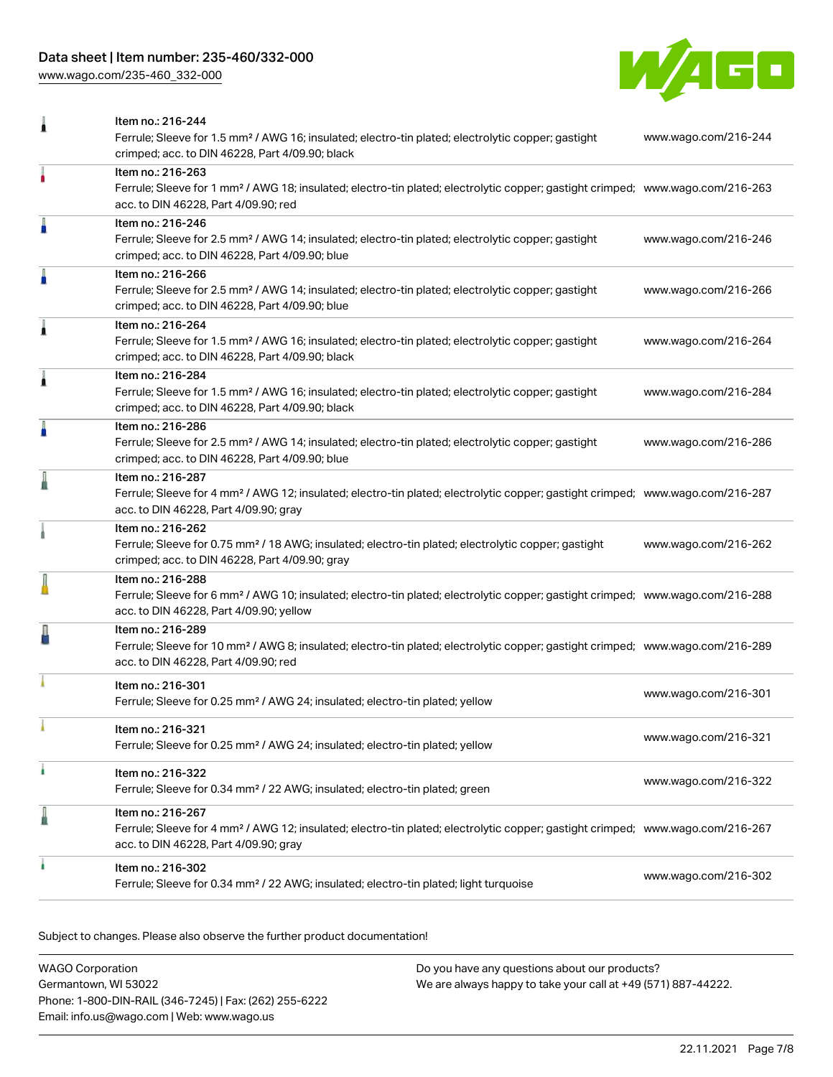# Data sheet | Item number: 235-460/332-000

[www.wago.com/235-460\\_332-000](http://www.wago.com/235-460_332-000)



| 1 | Item no.: 216-244                                                                                                                                                                                          |                      |
|---|------------------------------------------------------------------------------------------------------------------------------------------------------------------------------------------------------------|----------------------|
|   | Ferrule; Sleeve for 1.5 mm <sup>2</sup> / AWG 16; insulated; electro-tin plated; electrolytic copper; gastight<br>crimped; acc. to DIN 46228, Part 4/09.90; black                                          | www.wago.com/216-244 |
| ٠ | Item no.: 216-263<br>Ferrule; Sleeve for 1 mm <sup>2</sup> / AWG 18; insulated; electro-tin plated; electrolytic copper; gastight crimped; www.wago.com/216-263<br>acc. to DIN 46228, Part 4/09.90; red    |                      |
| I | Item no.: 216-246<br>Ferrule; Sleeve for 2.5 mm <sup>2</sup> / AWG 14; insulated; electro-tin plated; electrolytic copper; gastight<br>crimped; acc. to DIN 46228, Part 4/09.90; blue                      | www.wago.com/216-246 |
| Å | Item no.: 216-266<br>Ferrule; Sleeve for 2.5 mm <sup>2</sup> / AWG 14; insulated; electro-tin plated; electrolytic copper; gastight<br>crimped; acc. to DIN 46228, Part 4/09.90; blue                      | www.wago.com/216-266 |
| 1 | Item no.: 216-264<br>Ferrule; Sleeve for 1.5 mm <sup>2</sup> / AWG 16; insulated; electro-tin plated; electrolytic copper; gastight<br>crimped; acc. to DIN 46228, Part 4/09.90; black                     | www.wago.com/216-264 |
| Â | Item no.: 216-284<br>Ferrule; Sleeve for 1.5 mm <sup>2</sup> / AWG 16; insulated; electro-tin plated; electrolytic copper; gastight<br>crimped; acc. to DIN 46228, Part 4/09.90; black                     | www.wago.com/216-284 |
| A | Item no.: 216-286<br>Ferrule; Sleeve for 2.5 mm <sup>2</sup> / AWG 14; insulated; electro-tin plated; electrolytic copper; gastight<br>crimped; acc. to DIN 46228, Part 4/09.90; blue                      | www.wago.com/216-286 |
|   | Item no.: 216-287<br>Ferrule; Sleeve for 4 mm <sup>2</sup> / AWG 12; insulated; electro-tin plated; electrolytic copper; gastight crimped; www.wago.com/216-287<br>acc. to DIN 46228, Part 4/09.90; gray   |                      |
|   | Item no.: 216-262<br>Ferrule; Sleeve for 0.75 mm <sup>2</sup> / 18 AWG; insulated; electro-tin plated; electrolytic copper; gastight<br>crimped; acc. to DIN 46228, Part 4/09.90; gray                     | www.wago.com/216-262 |
|   | Item no.: 216-288<br>Ferrule; Sleeve for 6 mm <sup>2</sup> / AWG 10; insulated; electro-tin plated; electrolytic copper; gastight crimped; www.wago.com/216-288<br>acc. to DIN 46228, Part 4/09.90; yellow |                      |
|   | Item no.: 216-289<br>Ferrule; Sleeve for 10 mm <sup>2</sup> / AWG 8; insulated; electro-tin plated; electrolytic copper; gastight crimped; www.wago.com/216-289<br>acc. to DIN 46228, Part 4/09.90; red    |                      |
|   | Item no.: 216-301<br>Ferrule; Sleeve for 0.25 mm <sup>2</sup> / AWG 24; insulated; electro-tin plated; yellow                                                                                              | www.wago.com/216-301 |
|   | Item no.: 216-321<br>Ferrule; Sleeve for 0.25 mm <sup>2</sup> / AWG 24; insulated; electro-tin plated; yellow                                                                                              | www.wago.com/216-321 |
| ł | Item no.: 216-322<br>Ferrule; Sleeve for 0.34 mm <sup>2</sup> / 22 AWG; insulated; electro-tin plated; green                                                                                               | www.wago.com/216-322 |
| ≞ | Item no.: 216-267<br>Ferrule; Sleeve for 4 mm <sup>2</sup> / AWG 12; insulated; electro-tin plated; electrolytic copper; gastight crimped; www.wago.com/216-267<br>acc. to DIN 46228, Part 4/09.90; gray   |                      |
|   | Item no.: 216-302<br>Ferrule; Sleeve for 0.34 mm <sup>2</sup> / 22 AWG; insulated; electro-tin plated; light turquoise                                                                                     | www.wago.com/216-302 |

Subject to changes. Please also observe the further product documentation!

| WAGO Corporation                                       | Do you have any questions about our products?                 |
|--------------------------------------------------------|---------------------------------------------------------------|
| Germantown, WI 53022                                   | We are always happy to take your call at +49 (571) 887-44222. |
| Phone: 1-800-DIN-RAIL (346-7245)   Fax: (262) 255-6222 |                                                               |
| Email: info.us@wago.com   Web: www.wago.us             |                                                               |